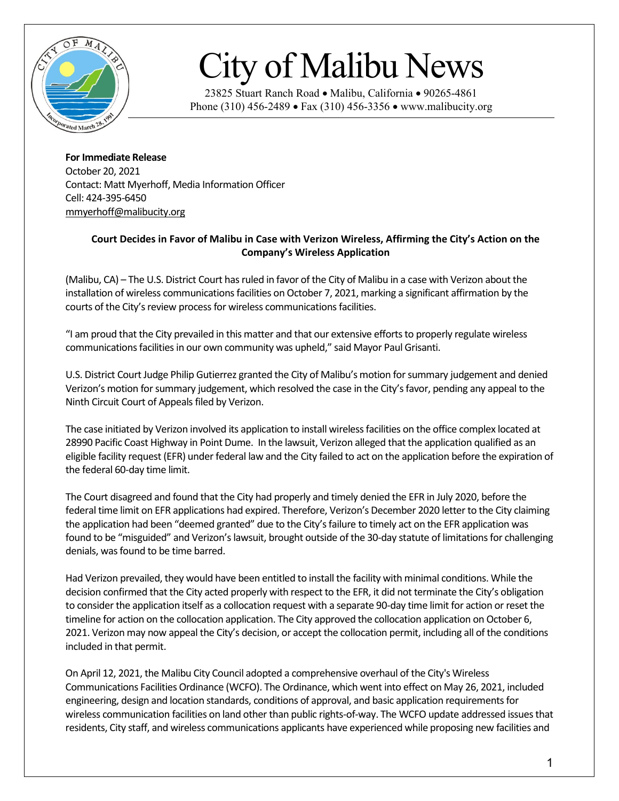

## City of Malibu News

23825 Stuart Ranch Road • Malibu, California • 90265-4861 Phone (310) 456-2489 • Fax (310) 456-3356 • www.malibucity.org

**For Immediate Release** October 20, 2021 Contact: Matt Myerhoff, Media Information Officer Cell: 424-395-6450 [mmyerhoff@malibucity.org](mailto:mmyerhoff@malibucity.org)

## **Court Decides in Favor of Malibu in Case with Verizon Wireless, Affirming the City's Action on the Company's Wireless Application**

(Malibu, CA) – The U.S. District Court has ruled in favor of the City of Malibu in a case with Verizon about the installation of wireless communications facilities on October 7, 2021, marking a significant affirmation by the courts of the City's review process for wireless communications facilities.

"I am proud that the City prevailed in this matter and that our extensive efforts to properly regulate wireless communications facilities in our own community was upheld," said Mayor Paul Grisanti.

U.S. District Court Judge Philip Gutierrez granted the City of Malibu's motion for summary judgement and denied Verizon's motion for summary judgement, which resolved the case in the City's favor, pending any appeal to the Ninth Circuit Court of Appeals filed by Verizon.

The case initiated by Verizon involved its application to install wireless facilities on the office complex located at 28990 Pacific Coast Highway in Point Dume. In the lawsuit, Verizon alleged that the application qualified as an eligible facility request (EFR) under federal law and the City failed to act on the application before the expiration of the federal 60-day time limit.

The Court disagreed and found that the City had properly and timely denied the EFR in July 2020, before the federal time limit on EFR applications had expired. Therefore, Verizon's December 2020 letter to the City claiming the application had been "deemed granted" due to the City's failure to timely act on the EFR application was found to be "misguided" and Verizon's lawsuit, brought outside of the 30-day statute of limitationsfor challenging denials, was found to be time barred.

Had Verizon prevailed, they would have been entitled to install the facility with minimal conditions. While the decision confirmed that the City acted properly with respect to the EFR, it did not terminate the City's obligation to consider the application itself as a collocation request with a separate 90-day time limit for action or reset the timeline for action on the collocation application. The City approved the collocation application on October 6, 2021. Verizon may now appeal the City's decision, or accept the collocation permit, including all of the conditions included in that permit.

On April 12, 2021, the Malibu City Council adopted a comprehensive overhaul of the City's Wireless Communications Facilities Ordinance (WCFO). The Ordinance, which went into effect on May 26, 2021, included engineering, design and location standards, conditions of approval, and basic application requirements for wireless communication facilities on land other than public rights-of-way. The WCFO update addressed issues that residents, City staff, and wireless communications applicants have experienced while proposing new facilities and